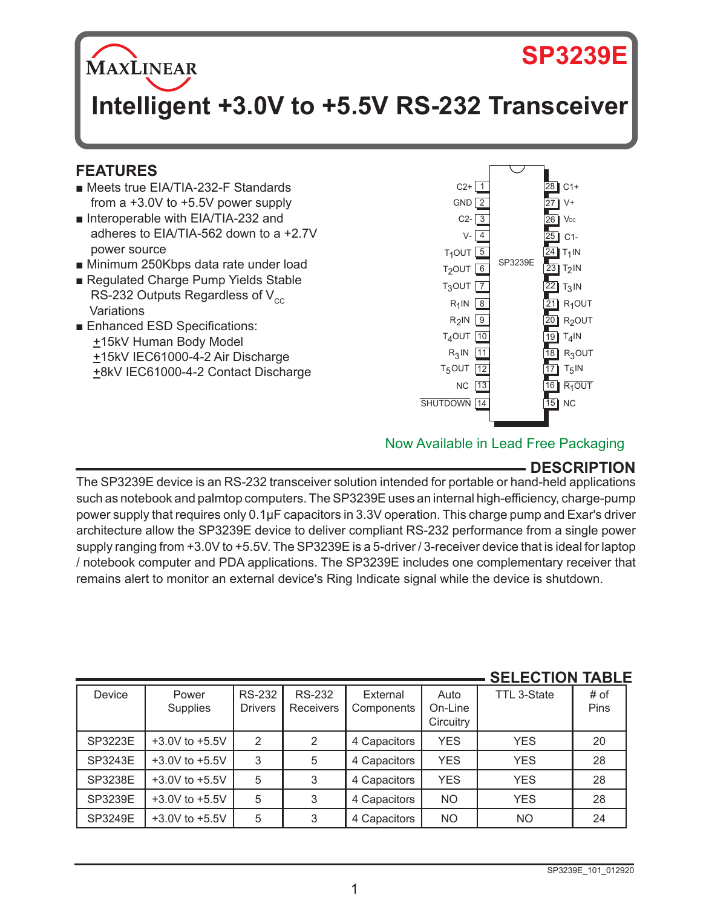# **SP3239E**

**MAXLINEAR** 

# **Intelligent +3.0V to +5.5V RS-232 Transceiver**

# **FEATURES**

- Meets true EIA/TIA-232-F Standards from a +3.0V to +5.5V power supply
- Interoperable with EIA/TIA-232 and adheres to EIA/TIA-562 down to a +2.7V power source
- Minimum 250Kbps data rate under load
- Regulated Charge Pump Yields Stable RS-232 Outputs Regardless of  $V_{cc}$ **Variations**
- Enhanced ESD Specifications: +15kV Human Body Model +15kV IEC61000-4-2 Air Discharge +8kV IEC61000-4-2 Contact Discharge



## Now Available in Lead Free Packaging

# **DESCRIPTION**

The SP3239E device is an RS-232 transceiver solution intended for portable or hand-held applications such as notebook and palmtop computers. The SP3239E uses an internal high-efficiency, charge-pump power supply that requires only 0.1µF capacitors in 3.3V operation. This charge pump and Exar's driver architecture allow the SP3239E device to deliver compliant RS-232 performance from a single power supply ranging from +3.0V to +5.5V. The SP3239E is a 5-driver / 3-receiver device that is ideal for laptop / notebook computer and PDA applications. The SP3239E includes one complementary receiver that remains alert to monitor an external device's Ring Indicate signal while the device is shutdown.

|         |                    |                                 |                                   |                        |                              | <u>JLLLVIIVII</u> | ,,,,,,       |
|---------|--------------------|---------------------------------|-----------------------------------|------------------------|------------------------------|-------------------|--------------|
| Device  | Power<br>Supplies  | <b>RS-232</b><br><b>Drivers</b> | <b>RS-232</b><br><b>Receivers</b> | External<br>Components | Auto<br>On-Line<br>Circuitry | TTL 3-State       | # of<br>Pins |
| SP3223E | $+3.0V$ to $+5.5V$ | 2                               | 2                                 | 4 Capacitors           | <b>YES</b>                   | <b>YES</b>        | 20           |
| SP3243E | $+3.0V$ to $+5.5V$ | 3                               | 5                                 | 4 Capacitors           | <b>YES</b>                   | <b>YES</b>        | 28           |
| SP3238E | $+3.0V$ to $+5.5V$ | 5                               | 3                                 | 4 Capacitors           | <b>YES</b>                   | <b>YES</b>        | 28           |
| SP3239E | $+3.0V$ to $+5.5V$ | 5                               | 3                                 | 4 Capacitors           | <b>NO</b>                    | <b>YES</b>        | 28           |
| SP3249E | $+3.0V$ to $+5.5V$ | 5                               | 3                                 | 4 Capacitors           | <b>NO</b>                    | <b>NO</b>         | 24           |

# **SELECTION TABLE**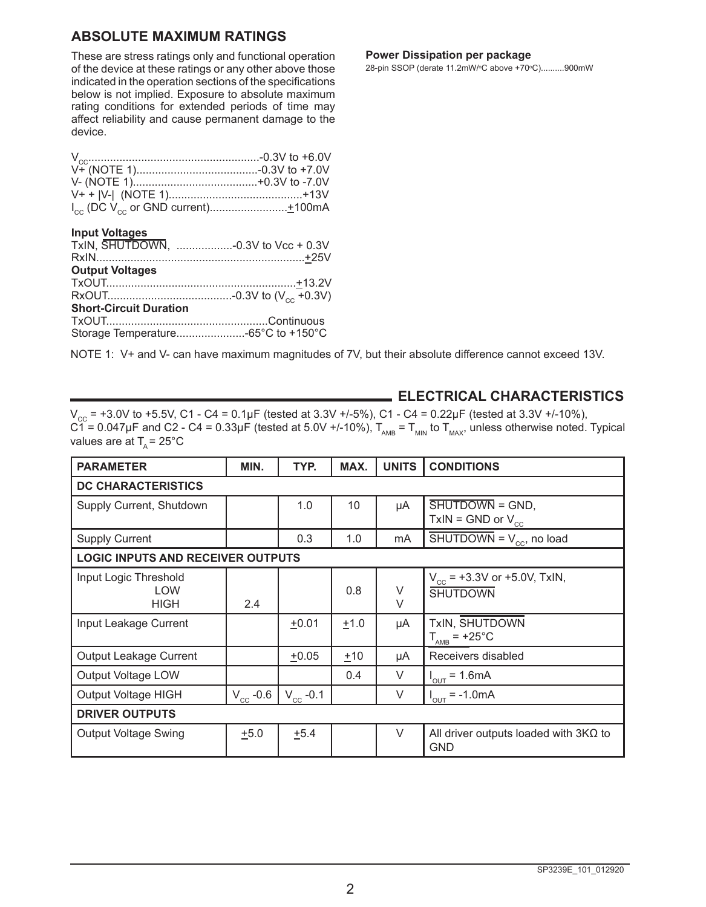### **ABSOLUTE MAXIMUM RATINGS**

These are stress ratings only and functional operation of the device at these ratings or any other above those indicated in the operation sections of the specifications below is not implied. Exposure to absolute maximum rating conditions for extended periods of time may affect reliability and cause permanent damage to the device.

#### **Input Voltages**

| TxIN, SHUTDOWN, -0.3V to Vcc + 0.3V |  |
|-------------------------------------|--|
|                                     |  |
| <b>Output Voltages</b>              |  |
|                                     |  |
|                                     |  |
| <b>Short-Circuit Duration</b>       |  |
|                                     |  |
| Storage Temperature -65°C to +150°C |  |
|                                     |  |

#### NOTE 1: V+ and V- can have maximum magnitudes of 7V, but their absolute difference cannot exceed 13V.

#### **Power Dissipation per package**

28-pin SSOP (derate 11.2mW/°C above +70°C)..........900mW

#### **ELECTRICAL CHARACTERISTICS**

 $V_{\text{cc}}$  = +3.0V to +5.5V, C1 - C4 = 0.1µF (tested at 3.3V +/-5%), C1 - C4 = 0.22µF (tested at 3.3V +/-10%), C1 = 0.047µF and C2 - C4 = 0.33µF (tested at 5.0V +/-10%),  $T_{_{\sf AMB}}$  =  $T_{_{\sf MMN}}$  to  $T_{_{\sf MAX}}$ , unless otherwise noted. Typical values are at  $T_a = 25^{\circ}$ C

| <b>PARAMETER</b>                                   | MIN.          | TYP.          | MAX.   | <b>UNITS</b> | <b>CONDITIONS</b>                                          |  |
|----------------------------------------------------|---------------|---------------|--------|--------------|------------------------------------------------------------|--|
| <b>DC CHARACTERISTICS</b>                          |               |               |        |              |                                                            |  |
| Supply Current, Shutdown                           |               | 1.0           | 10     | μA           | SHUTDOWN = GND,<br>$TxIN = GND$ or $V_{cc}$                |  |
| <b>Supply Current</b>                              |               | 0.3           | 1.0    | mA           | $\overline{\text{SHUTDOWN}} = V_{\text{cc}}$ , no load     |  |
| <b>LOGIC INPUTS AND RECEIVER OUTPUTS</b>           |               |               |        |              |                                                            |  |
| Input Logic Threshold<br><b>LOW</b><br><b>HIGH</b> | 2.4           |               | 0.8    | V<br>$\vee$  | $V_{cc}$ = +3.3V or +5.0V, TxIN,<br><b>SHUTDOWN</b>        |  |
| Input Leakage Current                              |               | $+0.01$       | $+1.0$ | μA           | TxIN, SHUTDOWN<br>$T_{\text{AMB}}$ = +25°C                 |  |
| Output Leakage Current                             |               | $+0.05$       | ±10    | μA           | Receivers disabled                                         |  |
| Output Voltage LOW                                 |               |               | 0.4    | V            | $I_{OUT} = 1.6mA$                                          |  |
| Output Voltage HIGH                                | $V_{cc}$ -0.6 | $V_{cc}$ -0.1 |        | $\vee$       | $I_{OUT} = -1.0mA$                                         |  |
| <b>DRIVER OUTPUTS</b>                              |               |               |        |              |                                                            |  |
| Output Voltage Swing                               | $+5.0$        | $+5.4$        |        | $\vee$       | All driver outputs loaded with $3K\Omega$ to<br><b>GND</b> |  |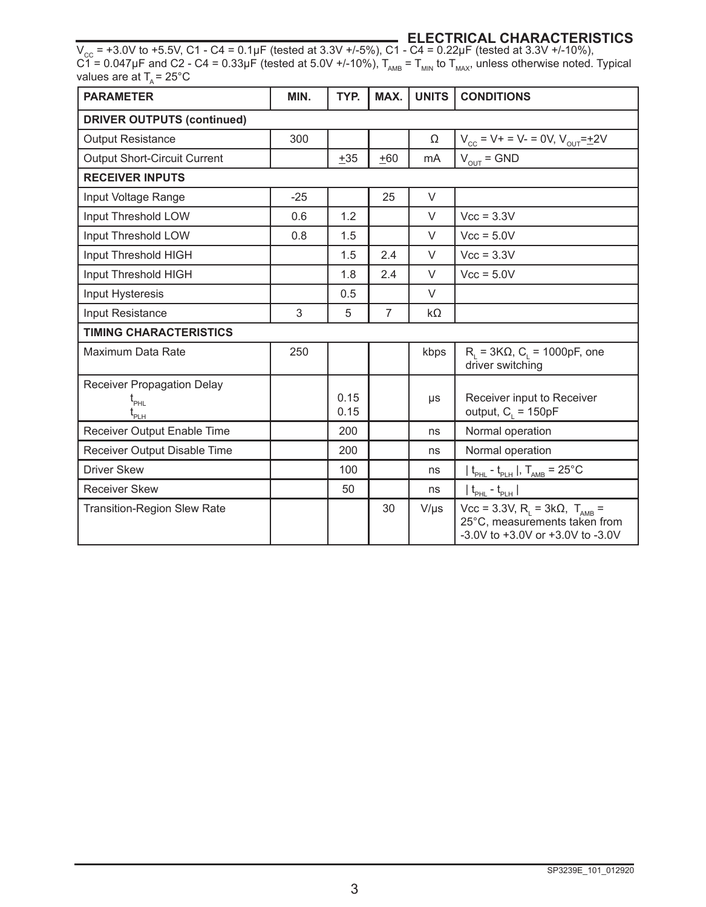#### **ELECTRICAL CHARACTERISTICS**

 $V_{\text{cc}}$  = +3.0V to +5.5V, C1 - C4 = 0.1µF (tested at 3.3V +/-5%), C1 - C4 = 0.22µF (tested at 3.3V +/-10%), C1 = 0.047µF and C2 - C4 = 0.33µF (tested at 5.0V +/-10%),  $T_{_{\sf AMB}}$  =  $T_{_{\sf MMN}}$  to  $T_{_{\sf MAX}}$ , unless otherwise noted. Typical values are at T<sub> $_{\rm A}$ </sub>= 25°C

| <b>PARAMETER</b>                                                            | MIN.  | TYP.         | MAX.           | <b>UNITS</b> | <b>CONDITIONS</b>                                                                                                         |
|-----------------------------------------------------------------------------|-------|--------------|----------------|--------------|---------------------------------------------------------------------------------------------------------------------------|
| <b>DRIVER OUTPUTS (continued)</b>                                           |       |              |                |              |                                                                                                                           |
| <b>Output Resistance</b>                                                    | 300   |              |                | Ω            | $V_{cc} = V + = V - = 0V, V_{OUT} = \pm 2V$                                                                               |
| <b>Output Short-Circuit Current</b>                                         |       | $+35$        | $+60$          | mA           | $V_{OUT} = GND$                                                                                                           |
| <b>RECEIVER INPUTS</b>                                                      |       |              |                |              |                                                                                                                           |
| Input Voltage Range                                                         | $-25$ |              | 25             | $\vee$       |                                                                                                                           |
| Input Threshold LOW                                                         | 0.6   | 1.2          |                | $\vee$       | $Vcc = 3.3V$                                                                                                              |
| Input Threshold LOW                                                         | 0.8   | 1.5          |                | $\vee$       | $Vcc = 5.0V$                                                                                                              |
| Input Threshold HIGH                                                        |       | 1.5          | 2.4            | $\vee$       | $Vcc = 3.3V$                                                                                                              |
| Input Threshold HIGH                                                        |       | 1.8          | 2.4            | $\vee$       | $Vcc = 5.0V$                                                                                                              |
| Input Hysteresis                                                            |       | 0.5          |                | $\vee$       |                                                                                                                           |
| Input Resistance                                                            | 3     | 5            | $\overline{7}$ | kΩ           |                                                                                                                           |
| <b>TIMING CHARACTERISTICS</b>                                               |       |              |                |              |                                                                                                                           |
| Maximum Data Rate                                                           | 250   |              |                | kbps         | $R_i = 3K\Omega$ , C <sub>i</sub> = 1000pF, one<br>driver switching                                                       |
| Receiver Propagation Delay<br>$\mathfrak{t}_{_{\sf PHL}}$<br>ւ<br>-<br>Pl H |       | 0.15<br>0.15 |                | μs           | Receiver input to Receiver<br>output, $C_i = 150pF$                                                                       |
| Receiver Output Enable Time                                                 |       | 200          |                | ns           | Normal operation                                                                                                          |
| Receiver Output Disable Time                                                |       | 200          |                | ns           | Normal operation                                                                                                          |
| <b>Driver Skew</b>                                                          |       | 100          |                | ns           | $t_{PHL}$ - $t_{PLH}$  , $T_{AMB}$ = 25°C                                                                                 |
| <b>Receiver Skew</b>                                                        |       | 50           |                | ns           | $ t_{\rm{p_{HL}}}-t_{\rm{p_{LH}}} $                                                                                       |
| <b>Transition-Region Slew Rate</b>                                          |       |              | 30             | $V/\mu s$    | Vcc = 3.3V, R <sub>L</sub> = 3kΩ, T <sub>AMB</sub> =<br>25°C, measurements taken from<br>-3.0V to +3.0V or +3.0V to -3.0V |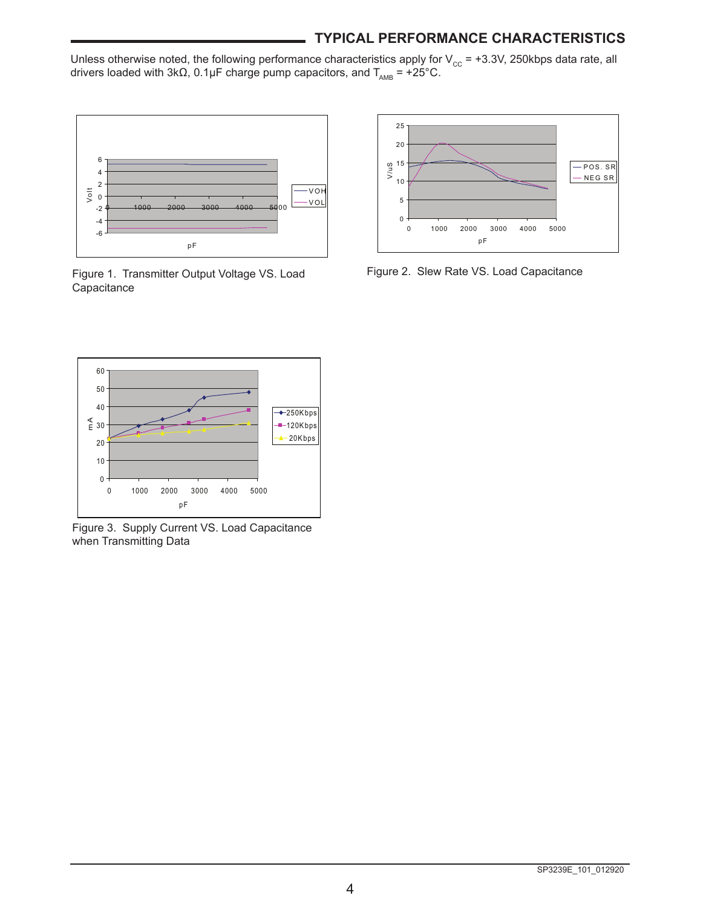### **TYPICAL PERFORMANCE CHARACTERISTICS**

Unless otherwise noted, the following performance characteristics apply for V $_{\rm cc}$  = +3.3V, 250kbps data rate, all drivers loaded with 3kΩ, 0.1µF charge pump capacitors, and T $_{_{\sf AMB}}$  = +25°C.



Figure 1. Transmitter Output Voltage VS. Load Figure 2. Slew Rate VS. Load Capacitance **Capacitance** 





Figure 3. Supply Current VS. Load Capacitance when Transmitting Data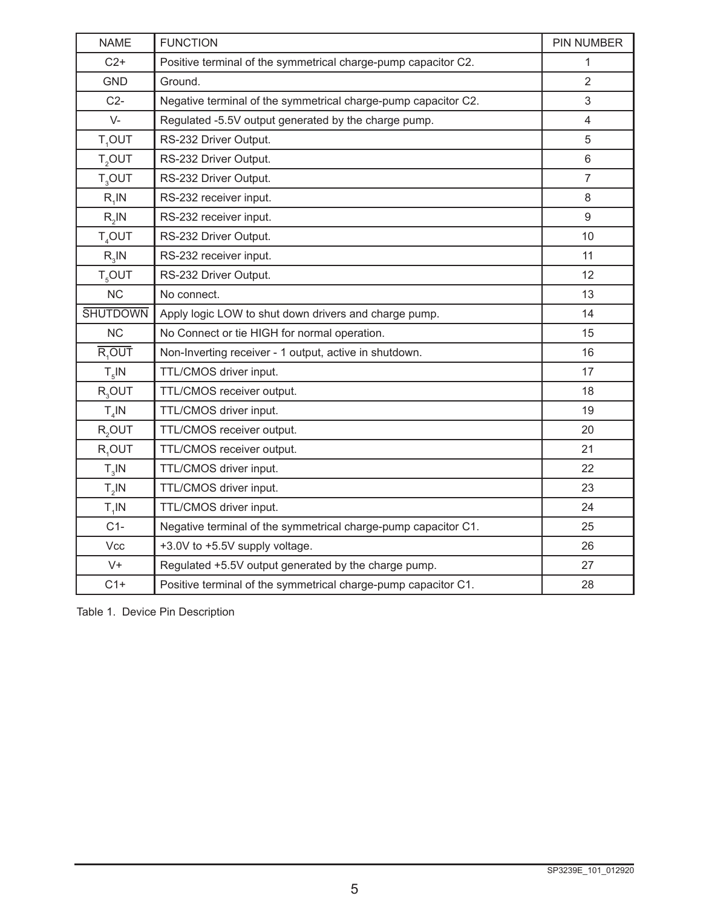| <b>NAME</b>                        | <b>FUNCTION</b>                                                | <b>PIN NUMBER</b> |
|------------------------------------|----------------------------------------------------------------|-------------------|
| $C2+$                              | Positive terminal of the symmetrical charge-pump capacitor C2. | 1                 |
| <b>GND</b>                         | Ground.                                                        | 2                 |
| $C2-$                              | Negative terminal of the symmetrical charge-pump capacitor C2. | 3                 |
| $V -$                              | Regulated -5.5V output generated by the charge pump.           | $\overline{4}$    |
| T,OUT                              | RS-232 Driver Output.                                          | 5                 |
| $T_{2}$ OUT                        | RS-232 Driver Output.                                          | 6                 |
| $T_{3}$ OUT                        | RS-232 Driver Output.                                          | $\overline{7}$    |
| $R_1$ IN                           | RS-232 receiver input.                                         | 8                 |
| $R_2$ IN                           | RS-232 receiver input.                                         | 9                 |
| T <sub>4</sub> OUT                 | RS-232 Driver Output.                                          | 10                |
| $R_{3}$ IN                         | RS-232 receiver input.                                         | 11                |
| <b>T<sub><sub>5</sub>OUT</sub></b> | RS-232 Driver Output.                                          | 12                |
| <b>NC</b>                          | No connect.                                                    | 13                |
| <b>SHUTDOWN</b>                    | Apply logic LOW to shut down drivers and charge pump.          | 14                |
| <b>NC</b>                          | No Connect or tie HIGH for normal operation.                   | 15                |
| R <sub>1</sub> OUT                 | Non-Inverting receiver - 1 output, active in shutdown.         | 16                |
| $T_{\rm g}$ IN                     | TTL/CMOS driver input.                                         | 17                |
| $R_3$ OUT                          | TTL/CMOS receiver output.                                      | 18                |
| $T_A$ IN                           | TTL/CMOS driver input.                                         | 19                |
| R <sub>2</sub> OUT                 | TTL/CMOS receiver output.                                      | 20                |
| R <sub>4</sub> OUT                 | TTL/CMOS receiver output.                                      | 21                |
| $T_{3}$ IN                         | TTL/CMOS driver input.                                         | 22                |
| $T_{2}$ IN                         | TTL/CMOS driver input.                                         | 23                |
| $T_1$ IN                           | TTL/CMOS driver input.                                         | 24                |
| $C1-$                              | Negative terminal of the symmetrical charge-pump capacitor C1. | 25                |
| Vcc                                | +3.0V to +5.5V supply voltage.                                 | 26                |
| $V +$                              | Regulated +5.5V output generated by the charge pump.           | 27                |
| $C1+$                              | Positive terminal of the symmetrical charge-pump capacitor C1. | 28                |

Table 1. Device Pin Description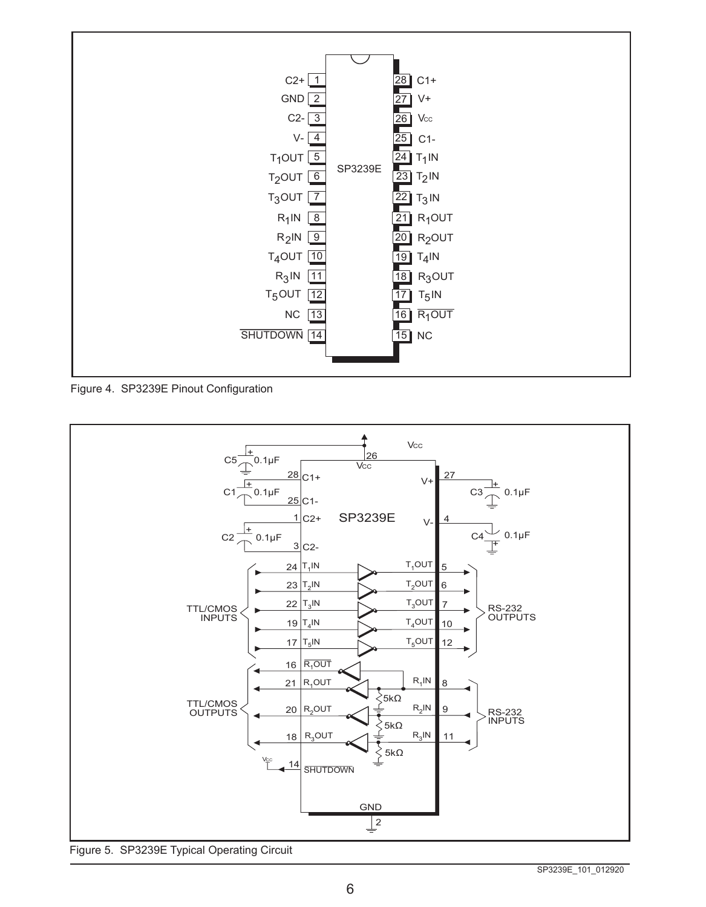

Figure 4. SP3239E Pinout Configuration



Figure 5. SP3239E Typical Operating Circuit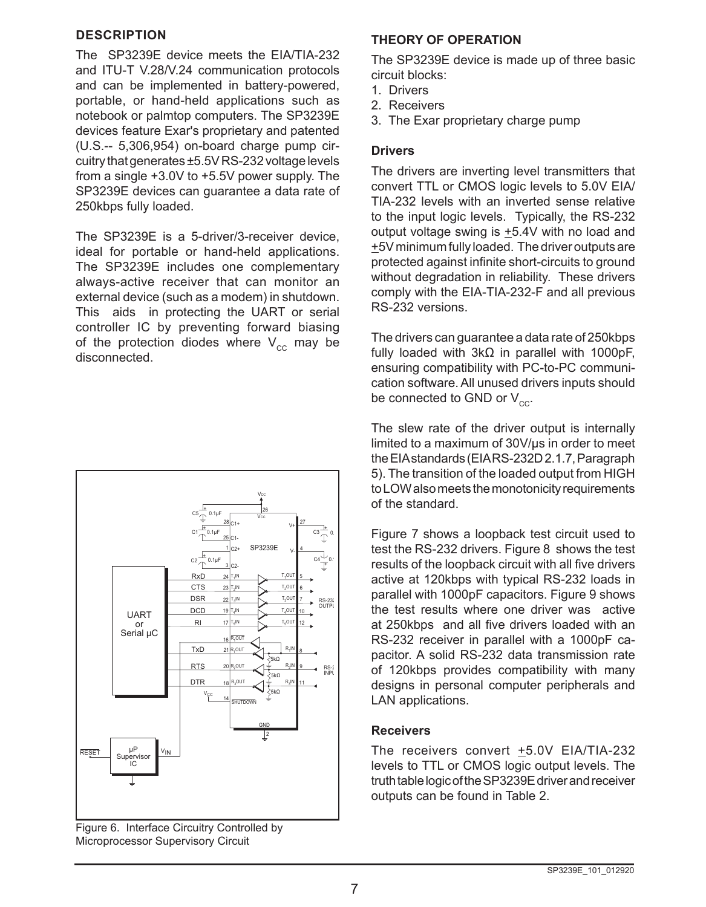#### **DESCRIPTION**

The SP3239E device meets the EIA/TIA-232 and ITU-T V.28/V.24 communication protocols and can be implemented in battery-powered, portable, or hand-held applications such as notebook or palmtop computers. The SP3239E devices feature Exar's proprietary and patented (U.S.‑‑ 5,306,954) on-board charge pump circuitry that generates ±5.5V RS-232 voltage levels from a single +3.0V to +5.5V power supply. The SP3239E devices can guarantee a data rate of 250kbps fully loaded.

The SP3239E is a 5-driver/3-receiver device, ideal for portable or hand-held applications. The SP3239E includes one complementary always-active receiver that can monitor an external device (such as a modem) in shutdown. This aids in protecting the UART or serial controller IC by preventing forward biasing of the protection diodes where  $V_{cc}$  may be disconnected.



Figure 6. Interface Circuitry Controlled by Microprocessor Supervisory Circuit

#### **THEORY OF OPERATION**

The SP3239E device is made up of three basic circuit blocks:

- 1. Drivers
- 2. Receivers
- 3. The Exar proprietary charge pump

#### **Drivers**

The drivers are inverting level transmitters that convert TTL or CMOS logic levels to 5.0V EIA/ TIA-232 levels with an inverted sense relative to the input logic levels. Typically, the RS-232 output voltage swing is  $\pm$ 5.4V with no load and +5V minimum fully loaded. The driver outputs are protected against infinite short-circuits to ground without degradation in reliability. These drivers comply with the EIA-TIA-232-F and all previous RS-232 versions.

The drivers can guarantee a data rate of 250kbps fully loaded with 3kΩ in parallel with 1000pF, ensuring compatibility with PC-to-PC communication software. All unused drivers inputs should be connected to GND or  $V_{cc}$ .

The slew rate of the driver output is internally limited to a maximum of 30V/µs in order to meet the EIA standards (EIA RS-232D 2.1.7, Paragraph 5). The transition of the loaded output from HIGH to LOW also meets the monotonicity requirements of the standard.

Figure 7 shows a loopback test circuit used to test the RS-232 drivers. Figure 8 shows the test results of the loopback circuit with all five drivers active at 120kbps with typical RS-232 loads in parallel with 1000pF capacitors. Figure 9 shows the test results where one driver was active at 250kbps and all five drivers loaded with an RS-232 receiver in parallel with a 1000pF capacitor. A solid RS-232 data transmission rate of 120kbps provides compatibility with many designs in personal computer peripherals and LAN applications.

#### **Receivers**

The receivers convert +5.0V EIA/TIA-232 levels to TTL or CMOS logic output levels. The truth table logic of the SP3239Edriver and receiver outputs can be found in Table 2.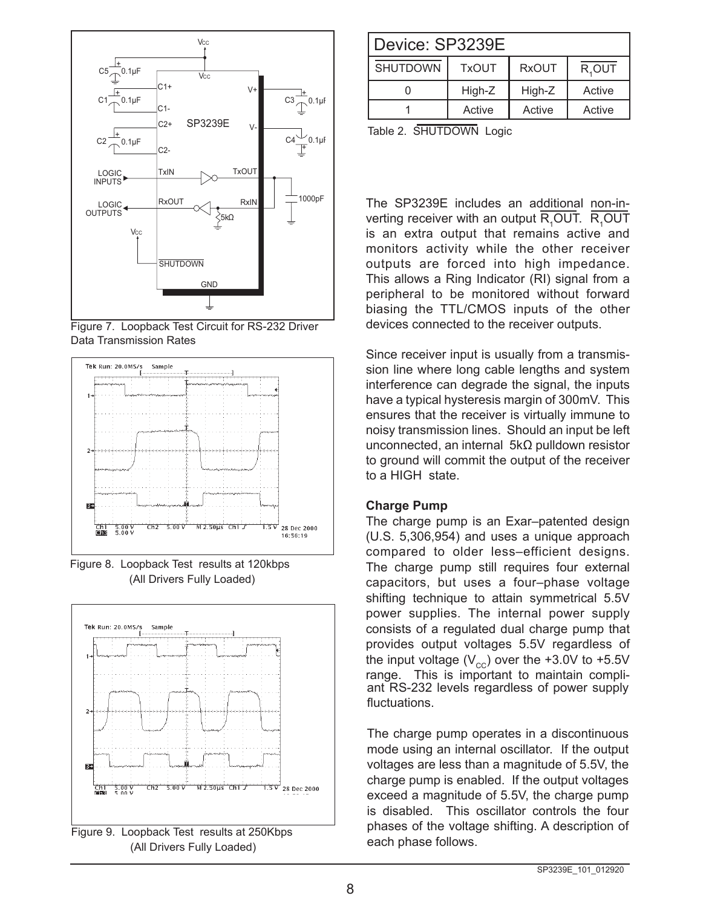

Figure 7. Loopback Test Circuit for RS-232 Driver Data Transmission Rates



Figure 8. Loopback Test results at 120kbps (All Drivers Fully Loaded)



| Device: SP3239E |              |              |          |  |
|-----------------|--------------|--------------|----------|--|
| <b>SHUTDOWN</b> | <b>TxOUT</b> | <b>RxOUT</b> | $R,$ OUT |  |
|                 | High-Z       | High-Z       | Active   |  |
|                 | Active       | Active       | Active   |  |

Table 2. SHUTDOWN Logic

The SP3239E includes an additional non-inverting receiver with an output  $\mathsf{R}_{\mathsf{1}}\mathsf{OUT}$ .  $\mathsf{R}_{\mathsf{1}}\mathsf{OUT}$ is an extra output that remains active and monitors activity while the other receiver outputs are forced into high impedance. This allows a Ring Indicator (RI) signal from a peripheral to be monitored without forward biasing the TTL/CMOS inputs of the other devices connected to the receiver outputs.

Since receiver input is usually from a transmission line where long cable lengths and system interference can degrade the signal, the inputs have a typical hysteresis margin of 300mV. This ensures that the receiver is virtually immune to noisy transmission lines. Should an input be left unconnected, an internal 5kΩ pulldown resistor to ground will commit the output of the receiver to a HIGH state.

#### **Charge Pump**

The charge pump is an Exar–patented design (U.S. 5,306,954) and uses a unique approach compared to older less–efficient designs. The charge pump still requires four external capacitors, but uses a four–phase voltage shifting technique to attain symmetrical 5.5V power supplies. The internal power supply consists of a regulated dual charge pump that provides output voltages 5.5V regardless of the input voltage  $(V_{cc})$  over the +3.0V to +5.5V range. This is important to maintain compliant RS-232 levels regardless of power supply fluctuations.

The charge pump operates in a discontinuous mode using an internal oscillator. If the output voltages are less than a magnitude of 5.5V, the charge pump is enabled. If the output voltages exceed a magnitude of 5.5V, the charge pump is disabled. This oscillator controls the four phases of the voltage shifting. A description of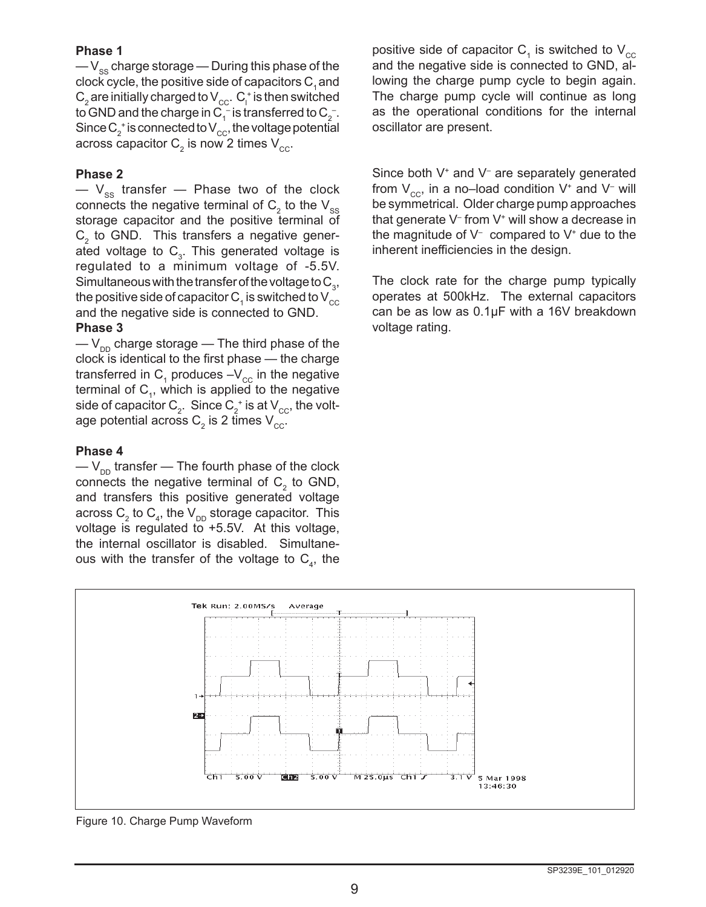#### **Phase 1**

 $-V_{\rm ss}$  charge storage — During this phase of the clock cycle, the positive side of capacitors  $C_1$  and  $\mathsf{C}_\mathsf{2}$  are initially charged to  $\mathsf{V}_{\mathrm{cc}}$ .  $\mathsf{C}_\mathsf{l}^*$  is then switched to GND and the charge in C $_1^-$  is transferred to C $_2^-$ . Since  $\mathsf{C}_2^{\vphantom{\dagger}}$  is connected to  $\mathsf{V}_{\mathrm{cc}}^{\vphantom{\dagger}},$  the voltage potential across capacitor  $\mathsf{C}_\mathsf{2}$  is now 2 times  $\mathsf{V}_\mathsf{cc}.$ 

#### **Phase 2**

 $-$  V<sub>ss</sub> transfer  $-$  Phase two of the clock connects the negative terminal of  $\mathsf{C}_\textsf{2}$  to the  $\mathsf{V}_{\textsf{ss}}$ storage capacitor and the positive terminal of  $\mathsf{C}_2^{}$  to GND. This transfers a negative generated voltage to  $\textsf{C}_{\scriptscriptstyle{3}}$ . This generated voltage is regulated to a minimum voltage of -5.5V. Simultaneous with the transfer of the voltage to  $\mathsf{C}_{_{3}},$ the positive side of capacitor  $\mathsf{C}_\mathtt{1}$  is switched to  $\mathsf{V}_\mathtt{cc}$ and the negative side is connected to GND.

#### **Phase 3**

 $-V_{nn}$  charge storage — The third phase of the clock is identical to the first phase — the charge transferred in  $\mathsf{C}_\mathtt{1}$  produces –V $_\mathrm{cc}$  in the negative terminal of  $\mathsf{C}_{\scriptscriptstyle\gamma}$ , which is applied to the negative side of capacitor  ${\sf C}_{\scriptscriptstyle 2}^{\scriptscriptstyle +}$  . Since  ${\sf C}_{\scriptscriptstyle 2}^{\scriptscriptstyle +}$  is at  ${\sf V}_{\scriptscriptstyle\rm CC}^{\scriptscriptstyle +}$ , the voltage potential across  $\mathsf{C}_2$  is 2 times  $\mathsf{V}_{\mathrm{cc}}.$ 

#### **Phase 4**

 $-V_{\text{DD}}$  transfer — The fourth phase of the clock connects the negative terminal of  $\mathsf{C}_2^{}$  to GND, and transfers this positive generated voltage across  $\mathsf{C}_\mathsf{2}$  to  $\mathsf{C}_\mathsf{4}$ , the  $\mathsf{V}_\mathsf{DD}$  storage capacitor. This voltage is regulated to +5.5V. At this voltage, the internal oscillator is disabled. Simultaneous with the transfer of the voltage to  $\mathsf{C}_\mathsf{4}$ , the

positive side of capacitor  $\textsf{C}_\textsf{\tiny 1}$  is switched to  $\textsf{V}_\textsf{cc}$ and the negative side is connected to GND, allowing the charge pump cycle to begin again. The charge pump cycle will continue as long as the operational conditions for the internal oscillator are present.

Since both V<sup>+</sup> and V<sup>-</sup> are separately generated from  $\mathsf{V}_{\mathsf{cc}}$ , in a no–load condition  $\mathsf{V}^{\scriptscriptstyle +}$  and  $\mathsf{V}^{\scriptscriptstyle -}$  will be symmetrical. Older charge pump approaches that generate V– from V+ will show a decrease in the magnitude of  $V^-$  compared to  $V^+$  due to the inherent inefficiencies in the design.

The clock rate for the charge pump typically operates at 500kHz. The external capacitors can be as low as 0.1µF with a 16V breakdown voltage rating.



Figure 10. Charge Pump Waveform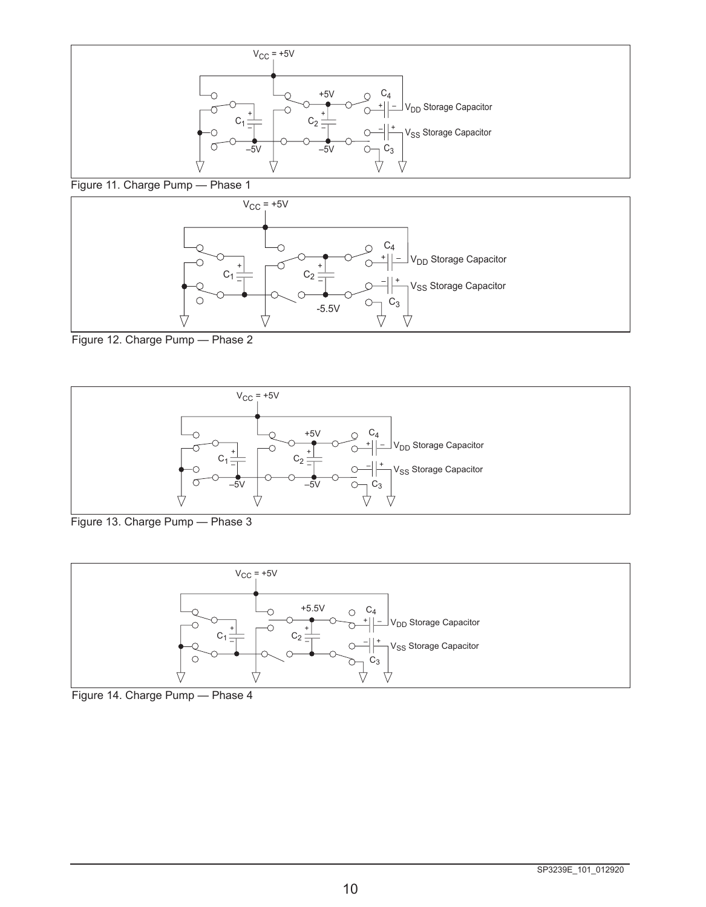

Figure 11. Charge Pump — Phase 1



Figure 12. Charge Pump — Phase 2



Figure 13. Charge Pump — Phase 3



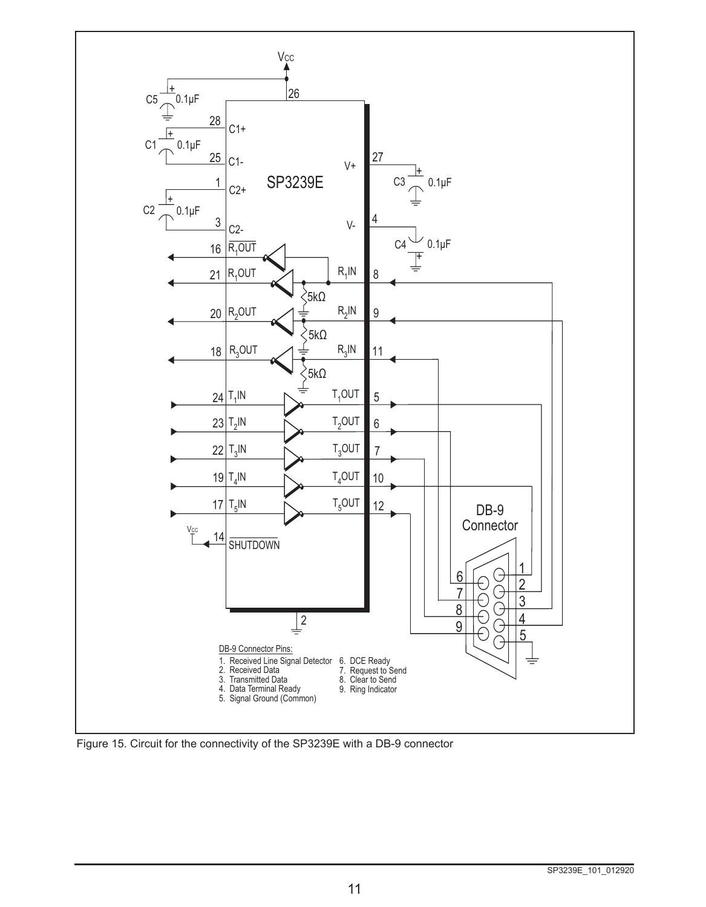

Figure 15. Circuit for the connectivity of the SP3239E with a DB-9 connector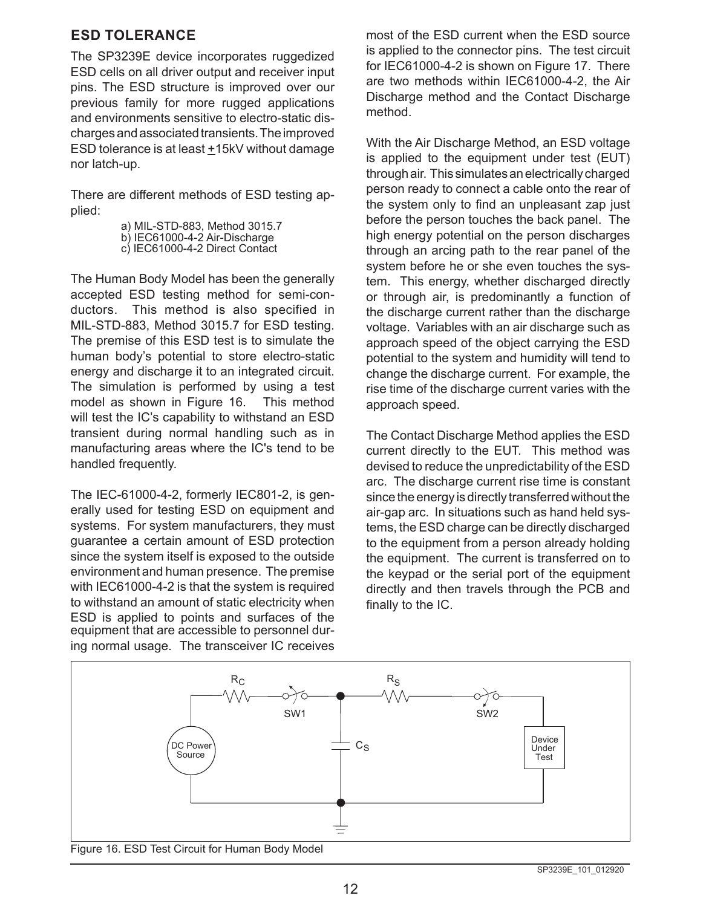#### **ESD TOLERANCE**

The SP3239E device incorporates ruggedized ESD cells on all driver output and receiver input pins. The ESD structure is improved over our previous family for more rugged applications and environments sensitive to electro-static discharges and associated transients. The improved ESD tolerance is at least  $±15kV$  without damage nor latch-up.

There are different methods of ESD testing applied:

> a) MIL-STD-883, Method 3015.7 b) IEC61000-4-2 Air-Discharge c) IEC61000-4-2 Direct Contact

The Human Body Model has been the generally accepted ESD testing method for semi-conductors. This method is also specified in MIL-STD-883, Method 3015.7 for ESD testing. The premise of this ESD test is to simulate the human body's potential to store electro-static energy and discharge it to an integrated circuit. The simulation is performed by using a test model as shown in Figure 16. This method will test the IC's capability to withstand an ESD transient during normal handling such as in manufacturing areas where the IC's tend to be handled frequently.

The IEC-61000-4-2, formerly IEC801-2, is generally used for testing ESD on equipment and systems. For system manufacturers, they must guarantee a certain amount of ESD protection since the system itself is exposed to the outside environment and human presence. The premise with IEC61000-4-2 is that the system is required to withstand an amount of static electricity when ESD is applied to points and surfaces of the equipment that are accessible to personnel during normal usage. The transceiver IC receives most of the ESD current when the ESD source is applied to the connector pins. The test circuit for IEC61000-4-2 is shown on Figure 17. There are two methods within IEC61000-4-2, the Air Discharge method and the Contact Discharge method.

With the Air Discharge Method, an ESD voltage is applied to the equipment under test (EUT) through air. This simulates an electrically charged person ready to connect a cable onto the rear of the system only to find an unpleasant zap just before the person touches the back panel. The high energy potential on the person discharges through an arcing path to the rear panel of the system before he or she even touches the system. This energy, whether discharged directly or through air, is predominantly a function of the discharge current rather than the discharge voltage. Variables with an air discharge such as approach speed of the object carrying the ESD potential to the system and humidity will tend to change the discharge current. For example, the rise time of the discharge current varies with the approach speed.

The Contact Discharge Method applies the ESD current directly to the EUT. This method was devised to reduce the unpredictability of the ESD arc. The discharge current rise time is constant since the energy is directly transferred without the air-gap arc. In situations such as hand held systems, the ESD charge can be directly discharged to the equipment from a person already holding the equipment. The current is transferred on to the keypad or the serial port of the equipment directly and then travels through the PCB and finally to the IC.



Figure 16. ESD Test Circuit for Human Body Model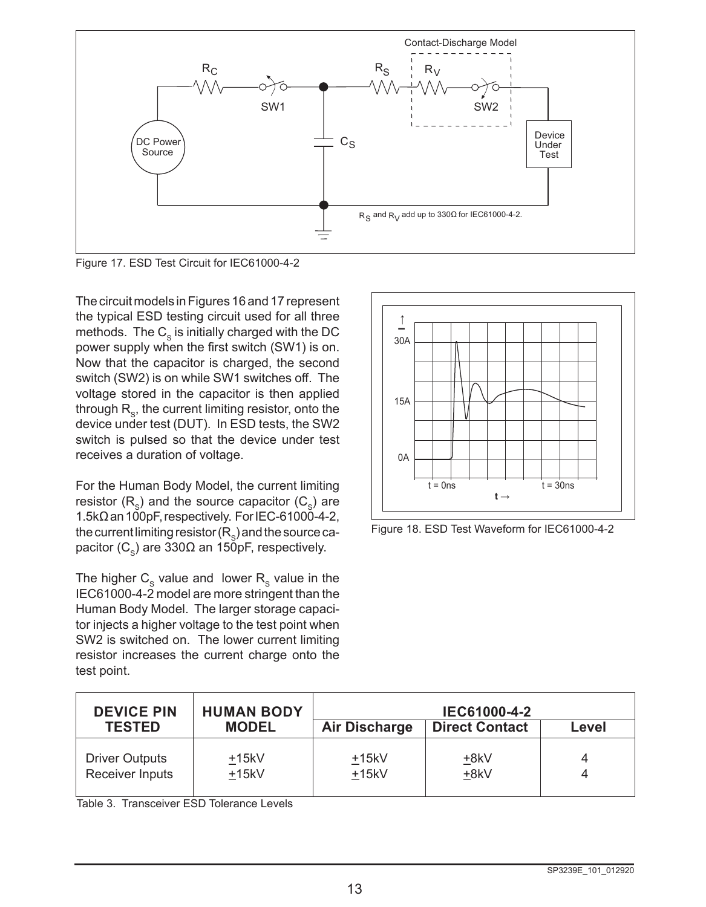

Figure 17. ESD Test Circuit for IEC61000-4-2

The circuit models in Figures 16 and 17 represent the typical ESD testing circuit used for all three methods. The  $C_{\rm s}$  is initially charged with the DC power supply when the first switch (SW1) is on. Now that the capacitor is charged, the second switch (SW2) is on while SW1 switches off. The voltage stored in the capacitor is then applied through  $R_{\rm s}$ , the current limiting resistor, onto the device under test (DUT). In ESD tests, the SW2 switch is pulsed so that the device under test receives a duration of voltage.

For the Human Body Model, the current limiting resistor  $(R_s)$  and the source capacitor  $(C_s)$  are 1.5kΩ an 100pF, respectively. For IEC-61000-4-2, the current limiting resistor  $(R_{\rm s})$  and the source capacitor (C<sub>s</sub>) are 330Ω an 150pF, respectively.

The higher  $C_{\rm s}$  value and lower  $R_{\rm s}$  value in the IEC61000-4-2 model are more stringent than the Human Body Model. The larger storage capacitor injects a higher voltage to the test point when SW2 is switched on. The lower current limiting resistor increases the current charge onto the test point.



Figure 18. ESD Test Waveform for IEC61000-4-2

| <b>DEVICE PIN</b><br><b>TESTED</b>                             | <b>HUMAN BODY</b><br><b>MODEL</b> | <b>Air Discharge</b> | IEC61000-4-2<br><b>Direct Contact</b> | Level  |
|----------------------------------------------------------------|-----------------------------------|----------------------|---------------------------------------|--------|
| <b>Driver Outputs</b><br>$+15kV$<br>Receiver Inputs<br>$+15kV$ |                                   | $+15kV$<br>$+15kV$   | +8kV<br>+8kV                          | 4<br>4 |

Table 3. Transceiver ESD Tolerance Levels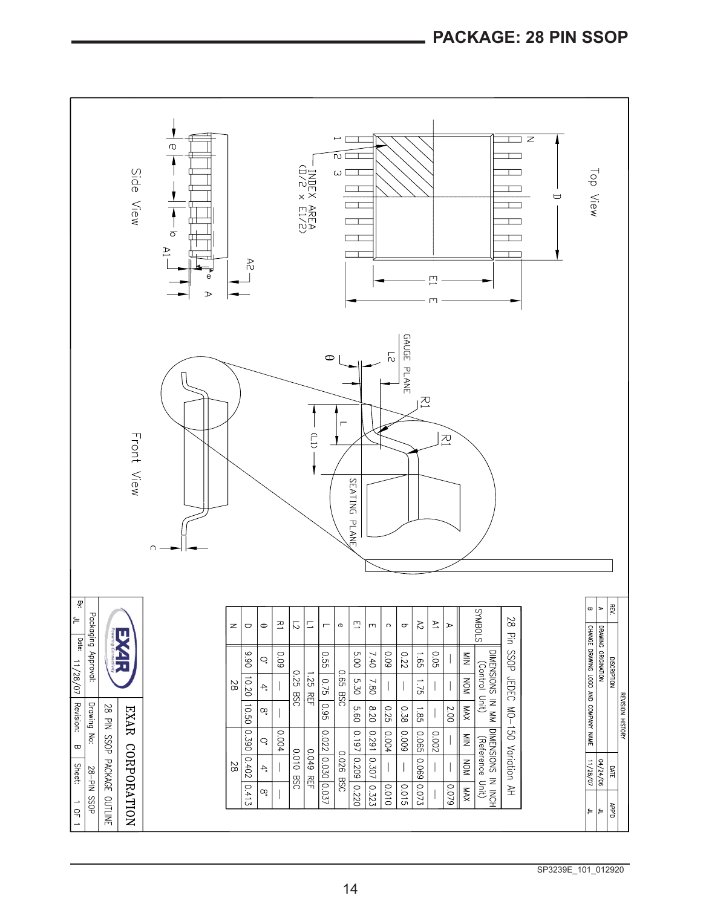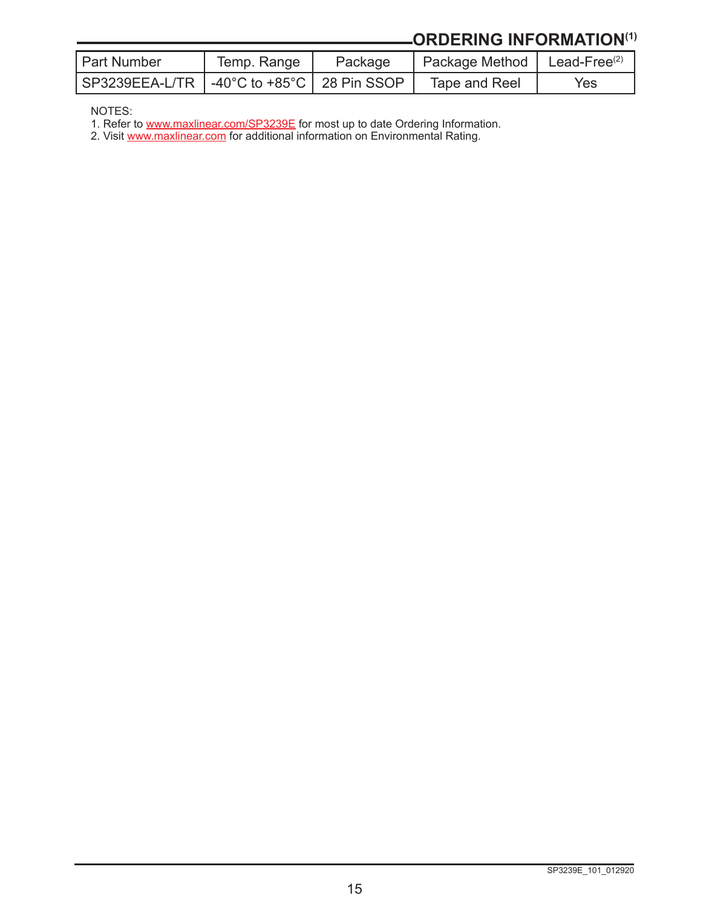# **ORDERING INFORMATION(1)**

| <b>Part Number</b>                            | Temp. Range | Package | Package Method   Lead-Free $(2)$ |     |
|-----------------------------------------------|-------------|---------|----------------------------------|-----|
| SP3239EEA-L/TR   -40°C to +85°C   28 Pin SSOP |             |         | Tape and Reel                    | Yes |

NOTES:

1. Refer to [www.maxlinear.com/SP3239E](http://www.maxlinear.com/SP3239E) for most up to date Ordering Information.

2. Visit [www.maxlinear.com](http://www.maxlinear.com) for additional information on Environmental Rating.